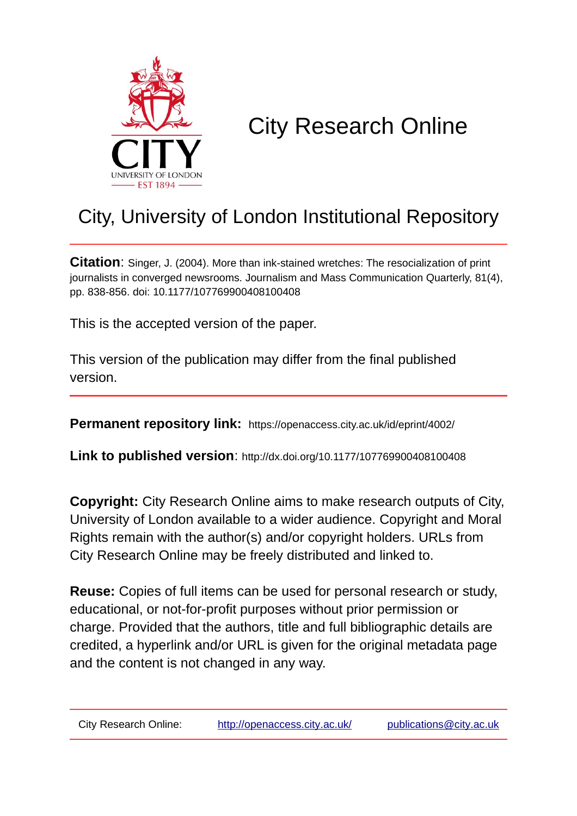

# City Research Online

## City, University of London Institutional Repository

**Citation**: Singer, J. (2004). More than ink-stained wretches: The resocialization of print journalists in converged newsrooms. Journalism and Mass Communication Quarterly, 81(4), pp. 838-856. doi: 10.1177/107769900408100408

This is the accepted version of the paper.

This version of the publication may differ from the final published version.

**Permanent repository link:** https://openaccess.city.ac.uk/id/eprint/4002/

**Link to published version**: http://dx.doi.org/10.1177/107769900408100408

**Copyright:** City Research Online aims to make research outputs of City, University of London available to a wider audience. Copyright and Moral Rights remain with the author(s) and/or copyright holders. URLs from City Research Online may be freely distributed and linked to.

**Reuse:** Copies of full items can be used for personal research or study, educational, or not-for-profit purposes without prior permission or charge. Provided that the authors, title and full bibliographic details are credited, a hyperlink and/or URL is given for the original metadata page and the content is not changed in any way.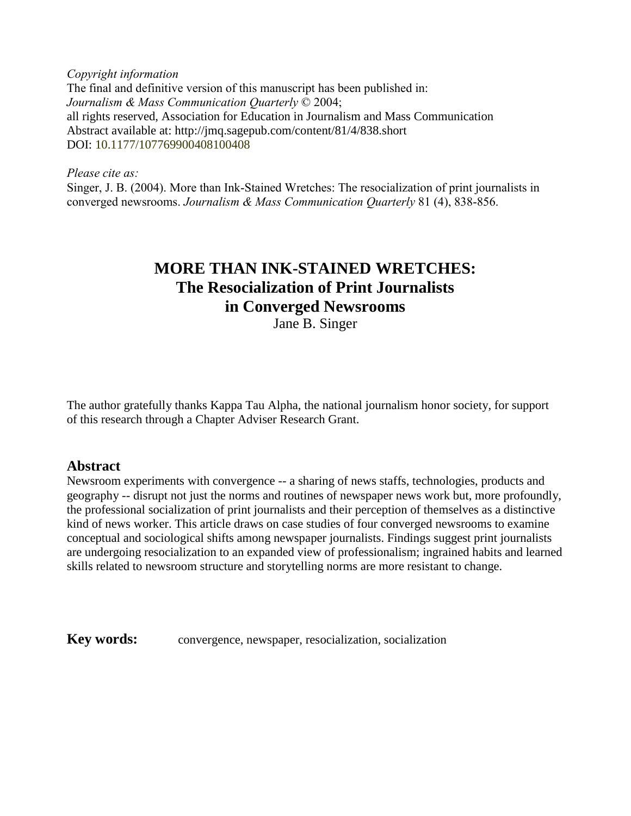*Copyright information* The final and definitive version of this manuscript has been published in: *Journalism & Mass Communication Quarterly* © 2004; all rights reserved, Association for Education in Journalism and Mass Communication Abstract available at: http://jmq.sagepub.com/content/81/4/838.short DOI: 10.1177/107769900408100408

*Please cite as:*

Singer, J. B. (2004). More than Ink-Stained Wretches: The resocialization of print journalists in converged newsrooms. *Journalism & Mass Communication Quarterly* 81 (4), 838-856.

### **MORE THAN INK-STAINED WRETCHES: The Resocialization of Print Journalists in Converged Newsrooms**

Jane B. Singer

The author gratefully thanks Kappa Tau Alpha, the national journalism honor society, for support of this research through a Chapter Adviser Research Grant.

#### **Abstract**

Newsroom experiments with convergence -- a sharing of news staffs, technologies, products and geography -- disrupt not just the norms and routines of newspaper news work but, more profoundly, the professional socialization of print journalists and their perception of themselves as a distinctive kind of news worker. This article draws on case studies of four converged newsrooms to examine conceptual and sociological shifts among newspaper journalists. Findings suggest print journalists are undergoing resocialization to an expanded view of professionalism; ingrained habits and learned skills related to newsroom structure and storytelling norms are more resistant to change.

**Key words:** convergence, newspaper, resocialization, socialization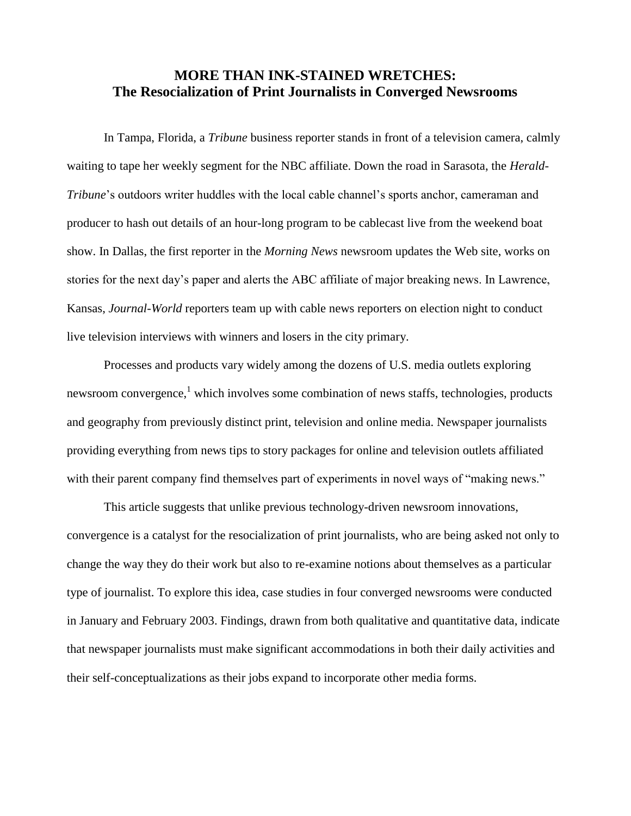#### **MORE THAN INK-STAINED WRETCHES: The Resocialization of Print Journalists in Converged Newsrooms**

In Tampa, Florida, a *Tribune* business reporter stands in front of a television camera, calmly waiting to tape her weekly segment for the NBC affiliate. Down the road in Sarasota, the *Herald-Tribune*'s outdoors writer huddles with the local cable channel's sports anchor, cameraman and producer to hash out details of an hour-long program to be cablecast live from the weekend boat show. In Dallas, the first reporter in the *Morning News* newsroom updates the Web site, works on stories for the next day's paper and alerts the ABC affiliate of major breaking news. In Lawrence, Kansas, *Journal-World* reporters team up with cable news reporters on election night to conduct live television interviews with winners and losers in the city primary.

Processes and products vary widely among the dozens of U.S. media outlets exploring newsroom convergence,<sup>1</sup> which involves some combination of news staffs, technologies, products and geography from previously distinct print, television and online media. Newspaper journalists providing everything from news tips to story packages for online and television outlets affiliated with their parent company find themselves part of experiments in novel ways of "making news."

This article suggests that unlike previous technology-driven newsroom innovations, convergence is a catalyst for the resocialization of print journalists, who are being asked not only to change the way they do their work but also to re-examine notions about themselves as a particular type of journalist. To explore this idea, case studies in four converged newsrooms were conducted in January and February 2003. Findings, drawn from both qualitative and quantitative data, indicate that newspaper journalists must make significant accommodations in both their daily activities and their self-conceptualizations as their jobs expand to incorporate other media forms.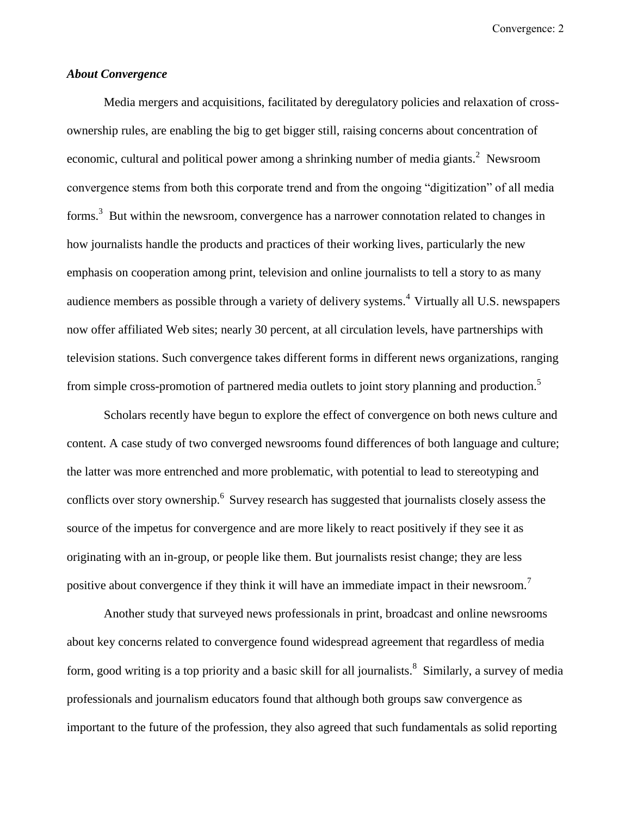#### *About Convergence*

Media mergers and acquisitions, facilitated by deregulatory policies and relaxation of crossownership rules, are enabling the big to get bigger still, raising concerns about concentration of economic, cultural and political power among a shrinking number of media giants.<sup>2</sup> Newsroom convergence stems from both this corporate trend and from the ongoing "digitization" of all media forms.<sup>3</sup> But within the newsroom, convergence has a narrower connotation related to changes in how journalists handle the products and practices of their working lives, particularly the new emphasis on cooperation among print, television and online journalists to tell a story to as many audience members as possible through a variety of delivery systems.<sup>4</sup> Virtually all U.S. newspapers now offer affiliated Web sites; nearly 30 percent, at all circulation levels, have partnerships with television stations. Such convergence takes different forms in different news organizations, ranging from simple cross-promotion of partnered media outlets to joint story planning and production.<sup>5</sup>

Scholars recently have begun to explore the effect of convergence on both news culture and content. A case study of two converged newsrooms found differences of both language and culture; the latter was more entrenched and more problematic, with potential to lead to stereotyping and conflicts over story ownership.<sup>6</sup> Survey research has suggested that journalists closely assess the source of the impetus for convergence and are more likely to react positively if they see it as originating with an in-group, or people like them. But journalists resist change; they are less positive about convergence if they think it will have an immediate impact in their newsroom.<sup>7</sup>

Another study that surveyed news professionals in print, broadcast and online newsrooms about key concerns related to convergence found widespread agreement that regardless of media form, good writing is a top priority and a basic skill for all journalists.<sup>8</sup> Similarly, a survey of media professionals and journalism educators found that although both groups saw convergence as important to the future of the profession, they also agreed that such fundamentals as solid reporting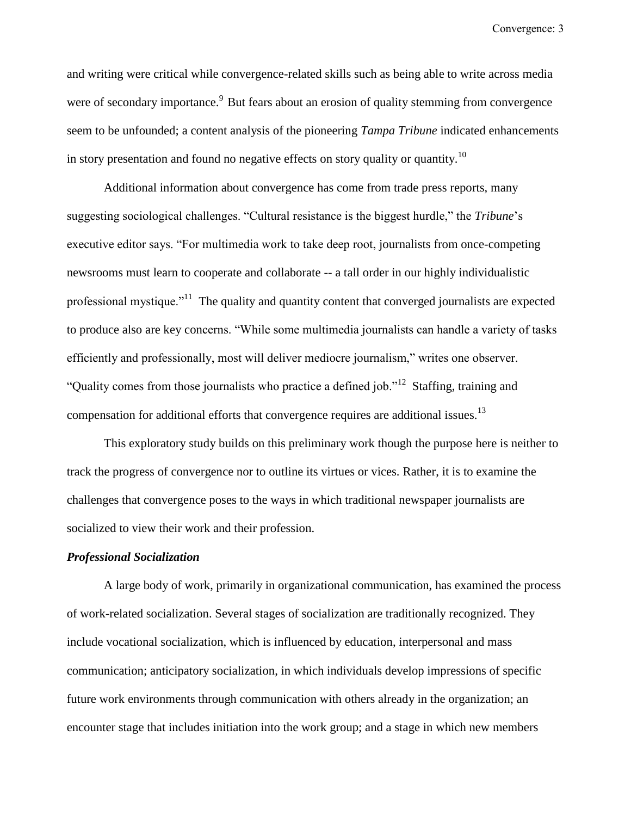and writing were critical while convergence-related skills such as being able to write across media were of secondary importance.<sup>9</sup> But fears about an erosion of quality stemming from convergence seem to be unfounded; a content analysis of the pioneering *Tampa Tribune* indicated enhancements in story presentation and found no negative effects on story quality or quantity.<sup>10</sup>

Additional information about convergence has come from trade press reports, many suggesting sociological challenges. "Cultural resistance is the biggest hurdle," the *Tribune*'s executive editor says. "For multimedia work to take deep root, journalists from once-competing newsrooms must learn to cooperate and collaborate -- a tall order in our highly individualistic professional mystique."<sup>11</sup> The quality and quantity content that converged journalists are expected to produce also are key concerns. "While some multimedia journalists can handle a variety of tasks efficiently and professionally, most will deliver mediocre journalism," writes one observer. "Quality comes from those journalists who practice a defined job."<sup>12</sup> Staffing, training and compensation for additional efforts that convergence requires are additional issues.<sup>13</sup>

This exploratory study builds on this preliminary work though the purpose here is neither to track the progress of convergence nor to outline its virtues or vices. Rather, it is to examine the challenges that convergence poses to the ways in which traditional newspaper journalists are socialized to view their work and their profession.

#### *Professional Socialization*

A large body of work, primarily in organizational communication, has examined the process of work-related socialization. Several stages of socialization are traditionally recognized. They include vocational socialization, which is influenced by education, interpersonal and mass communication; anticipatory socialization, in which individuals develop impressions of specific future work environments through communication with others already in the organization; an encounter stage that includes initiation into the work group; and a stage in which new members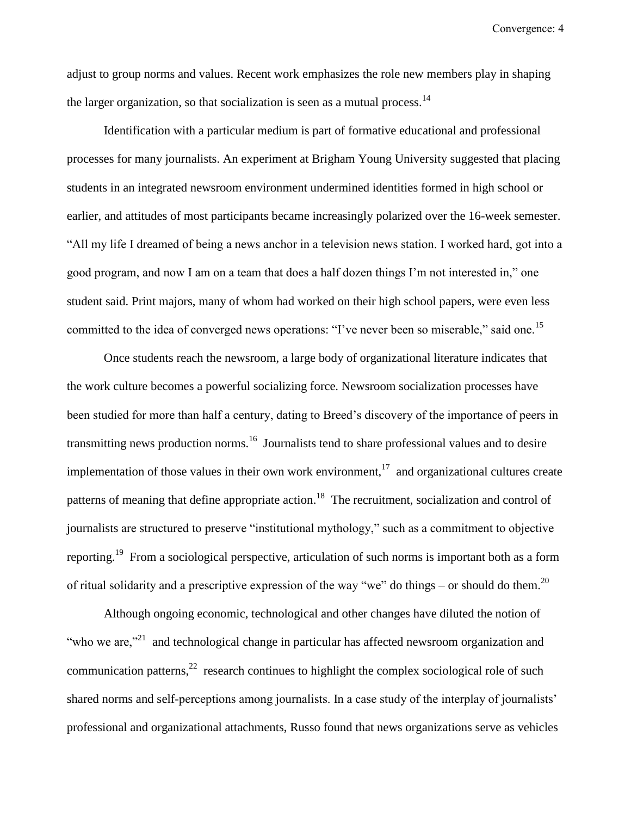adjust to group norms and values. Recent work emphasizes the role new members play in shaping the larger organization, so that socialization is seen as a mutual process.<sup>14</sup>

Identification with a particular medium is part of formative educational and professional processes for many journalists. An experiment at Brigham Young University suggested that placing students in an integrated newsroom environment undermined identities formed in high school or earlier, and attitudes of most participants became increasingly polarized over the 16-week semester. "All my life I dreamed of being a news anchor in a television news station. I worked hard, got into a good program, and now I am on a team that does a half dozen things I'm not interested in," one student said. Print majors, many of whom had worked on their high school papers, were even less committed to the idea of converged news operations: "I've never been so miserable," said one.<sup>15</sup>

Once students reach the newsroom, a large body of organizational literature indicates that the work culture becomes a powerful socializing force. Newsroom socialization processes have been studied for more than half a century, dating to Breed's discovery of the importance of peers in transmitting news production norms.<sup>16</sup> Journalists tend to share professional values and to desire implementation of those values in their own work environment,<sup>17</sup> and organizational cultures create patterns of meaning that define appropriate action.<sup>18</sup> The recruitment, socialization and control of journalists are structured to preserve "institutional mythology," such as a commitment to objective reporting.<sup>19</sup> From a sociological perspective, articulation of such norms is important both as a form of ritual solidarity and a prescriptive expression of the way "we" do things – or should do them.<sup>20</sup>

Although ongoing economic, technological and other changes have diluted the notion of "who we are, $"^{21}$  and technological change in particular has affected newsroom organization and communication patterns, $^{22}$  research continues to highlight the complex sociological role of such shared norms and self-perceptions among journalists. In a case study of the interplay of journalists' professional and organizational attachments, Russo found that news organizations serve as vehicles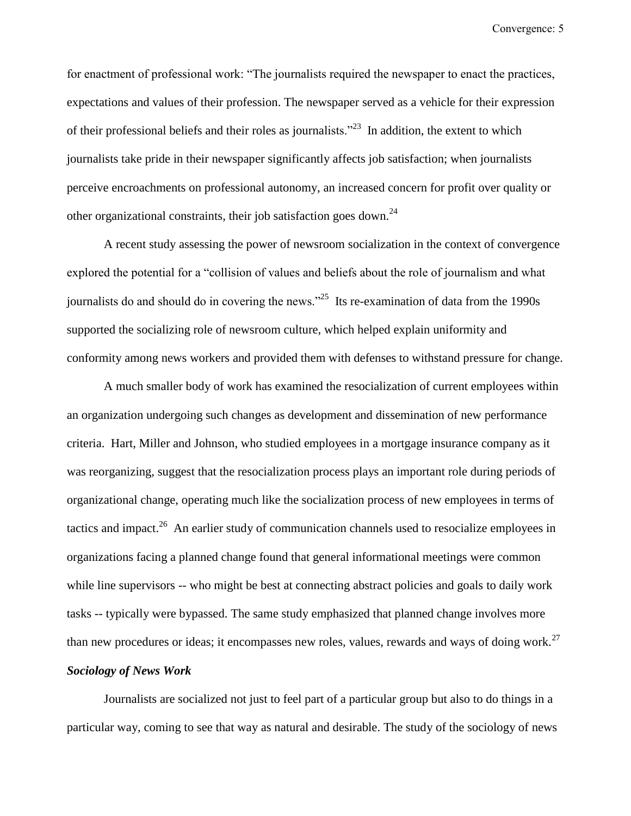for enactment of professional work: "The journalists required the newspaper to enact the practices, expectations and values of their profession. The newspaper served as a vehicle for their expression of their professional beliefs and their roles as journalists.<sup> $2^{23}$ </sup> In addition, the extent to which journalists take pride in their newspaper significantly affects job satisfaction; when journalists perceive encroachments on professional autonomy, an increased concern for profit over quality or other organizational constraints, their job satisfaction goes down.<sup>24</sup>

A recent study assessing the power of newsroom socialization in the context of convergence explored the potential for a "collision of values and beliefs about the role of journalism and what journalists do and should do in covering the news."<sup>25</sup> Its re-examination of data from the 1990s supported the socializing role of newsroom culture, which helped explain uniformity and conformity among news workers and provided them with defenses to withstand pressure for change.

A much smaller body of work has examined the resocialization of current employees within an organization undergoing such changes as development and dissemination of new performance criteria. Hart, Miller and Johnson, who studied employees in a mortgage insurance company as it was reorganizing, suggest that the resocialization process plays an important role during periods of organizational change, operating much like the socialization process of new employees in terms of tactics and impact.<sup>26</sup> An earlier study of communication channels used to resocialize employees in organizations facing a planned change found that general informational meetings were common while line supervisors -- who might be best at connecting abstract policies and goals to daily work tasks -- typically were bypassed. The same study emphasized that planned change involves more than new procedures or ideas; it encompasses new roles, values, rewards and ways of doing work.<sup>27</sup>

#### *Sociology of News Work*

Journalists are socialized not just to feel part of a particular group but also to do things in a particular way, coming to see that way as natural and desirable. The study of the sociology of news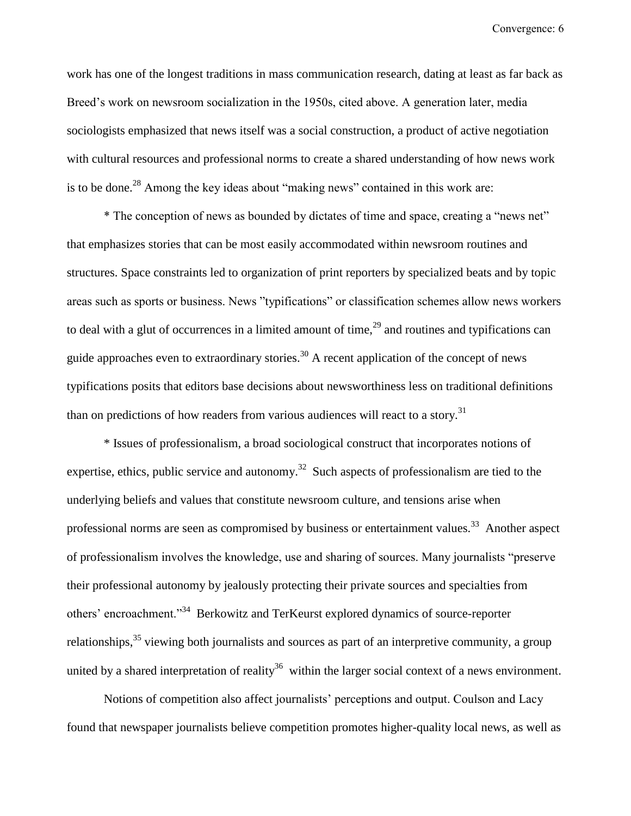work has one of the longest traditions in mass communication research, dating at least as far back as Breed's work on newsroom socialization in the 1950s, cited above. A generation later, media sociologists emphasized that news itself was a social construction, a product of active negotiation with cultural resources and professional norms to create a shared understanding of how news work is to be done.<sup>28</sup> Among the key ideas about "making news" contained in this work are:

\* The conception of news as bounded by dictates of time and space, creating a "news net" that emphasizes stories that can be most easily accommodated within newsroom routines and structures. Space constraints led to organization of print reporters by specialized beats and by topic areas such as sports or business. News "typifications" or classification schemes allow news workers to deal with a glut of occurrences in a limited amount of time,<sup>29</sup> and routines and typifications can guide approaches even to extraordinary stories.<sup>30</sup> A recent application of the concept of news typifications posits that editors base decisions about newsworthiness less on traditional definitions than on predictions of how readers from various audiences will react to a story.<sup>31</sup>

\* Issues of professionalism, a broad sociological construct that incorporates notions of expertise, ethics, public service and autonomy.<sup>32</sup> Such aspects of professionalism are tied to the underlying beliefs and values that constitute newsroom culture, and tensions arise when professional norms are seen as compromised by business or entertainment values.<sup>33</sup> Another aspect of professionalism involves the knowledge, use and sharing of sources. Many journalists "preserve their professional autonomy by jealously protecting their private sources and specialties from others' encroachment."<sup>34</sup> Berkowitz and TerKeurst explored dynamics of source-reporter relationships,<sup>35</sup> viewing both journalists and sources as part of an interpretive community, a group united by a shared interpretation of reality<sup>36</sup> within the larger social context of a news environment.

Notions of competition also affect journalists' perceptions and output. Coulson and Lacy found that newspaper journalists believe competition promotes higher-quality local news, as well as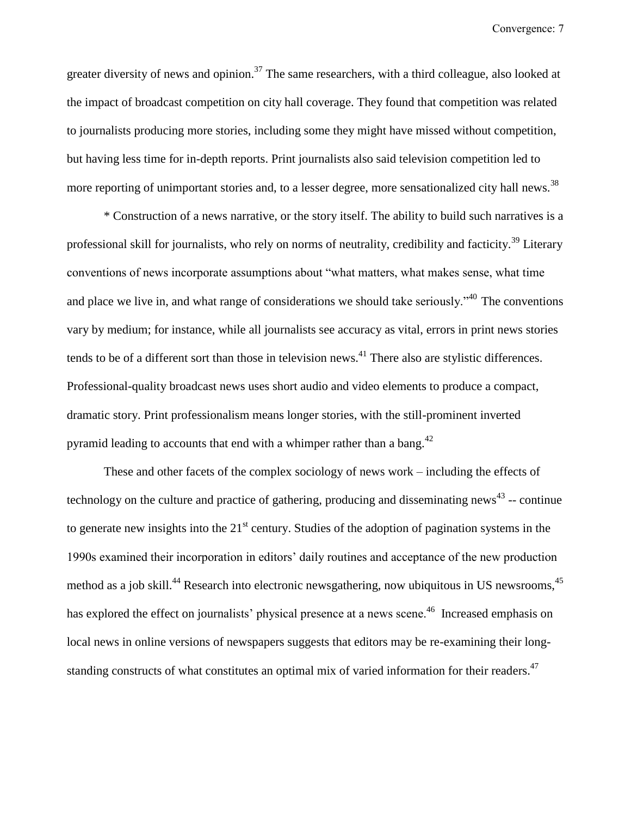greater diversity of news and opinion.<sup>37</sup> The same researchers, with a third colleague, also looked at the impact of broadcast competition on city hall coverage. They found that competition was related to journalists producing more stories, including some they might have missed without competition, but having less time for in-depth reports. Print journalists also said television competition led to more reporting of unimportant stories and, to a lesser degree, more sensationalized city hall news.<sup>38</sup>

\* Construction of a news narrative, or the story itself. The ability to build such narratives is a professional skill for journalists, who rely on norms of neutrality, credibility and facticity.<sup>39</sup> Literary conventions of news incorporate assumptions about "what matters, what makes sense, what time and place we live in, and what range of considerations we should take seriously.<sup> $340$ </sup> The conventions vary by medium; for instance, while all journalists see accuracy as vital, errors in print news stories tends to be of a different sort than those in television news.<sup>41</sup> There also are stylistic differences. Professional-quality broadcast news uses short audio and video elements to produce a compact, dramatic story. Print professionalism means longer stories, with the still-prominent inverted pyramid leading to accounts that end with a whimper rather than a bang.<sup>42</sup>

These and other facets of the complex sociology of news work – including the effects of technology on the culture and practice of gathering, producing and disseminating news<sup>43</sup> -- continue to generate new insights into the 21<sup>st</sup> century. Studies of the adoption of pagination systems in the 1990s examined their incorporation in editors' daily routines and acceptance of the new production method as a job skill.<sup>44</sup> Research into electronic newsgathering, now ubiquitous in US newsrooms,  $45$ has explored the effect on journalists' physical presence at a news scene.<sup>46</sup> Increased emphasis on local news in online versions of newspapers suggests that editors may be re-examining their longstanding constructs of what constitutes an optimal mix of varied information for their readers.<sup>47</sup>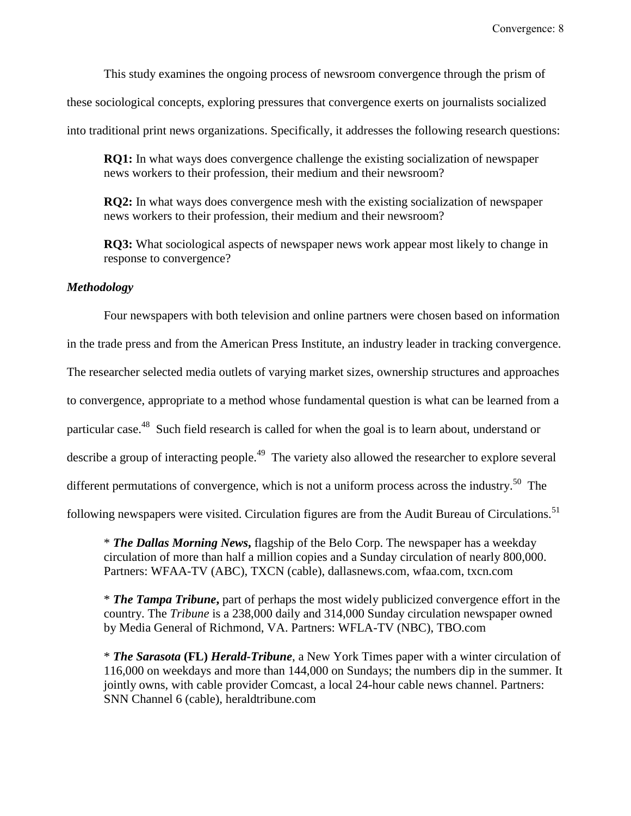This study examines the ongoing process of newsroom convergence through the prism of

these sociological concepts, exploring pressures that convergence exerts on journalists socialized

into traditional print news organizations. Specifically, it addresses the following research questions:

**RO1:** In what ways does convergence challenge the existing socialization of newspaper news workers to their profession, their medium and their newsroom?

**RQ2:** In what ways does convergence mesh with the existing socialization of newspaper news workers to their profession, their medium and their newsroom?

**RQ3:** What sociological aspects of newspaper news work appear most likely to change in response to convergence?

#### *Methodology*

Four newspapers with both television and online partners were chosen based on information in the trade press and from the American Press Institute, an industry leader in tracking convergence. The researcher selected media outlets of varying market sizes, ownership structures and approaches to convergence, appropriate to a method whose fundamental question is what can be learned from a particular case.<sup>48</sup> Such field research is called for when the goal is to learn about, understand or describe a group of interacting people.<sup>49</sup> The variety also allowed the researcher to explore several different permutations of convergence, which is not a uniform process across the industry.<sup>50</sup> The following newspapers were visited. Circulation figures are from the Audit Bureau of Circulations.<sup>51</sup>

\* *The Dallas Morning News***,** flagship of the Belo Corp. The newspaper has a weekday circulation of more than half a million copies and a Sunday circulation of nearly 800,000. Partners: WFAA-TV (ABC), TXCN (cable), dallasnews.com, wfaa.com, txcn.com

\* *The Tampa Tribune***,** part of perhaps the most widely publicized convergence effort in the country. The *Tribune* is a 238,000 daily and 314,000 Sunday circulation newspaper owned by Media General of Richmond, VA. Partners: WFLA-TV (NBC), TBO.com

\* *The Sarasota* **(FL)** *Herald-Tribune*, a New York Times paper with a winter circulation of 116,000 on weekdays and more than 144,000 on Sundays; the numbers dip in the summer. It jointly owns, with cable provider Comcast, a local 24-hour cable news channel. Partners: SNN Channel 6 (cable), heraldtribune.com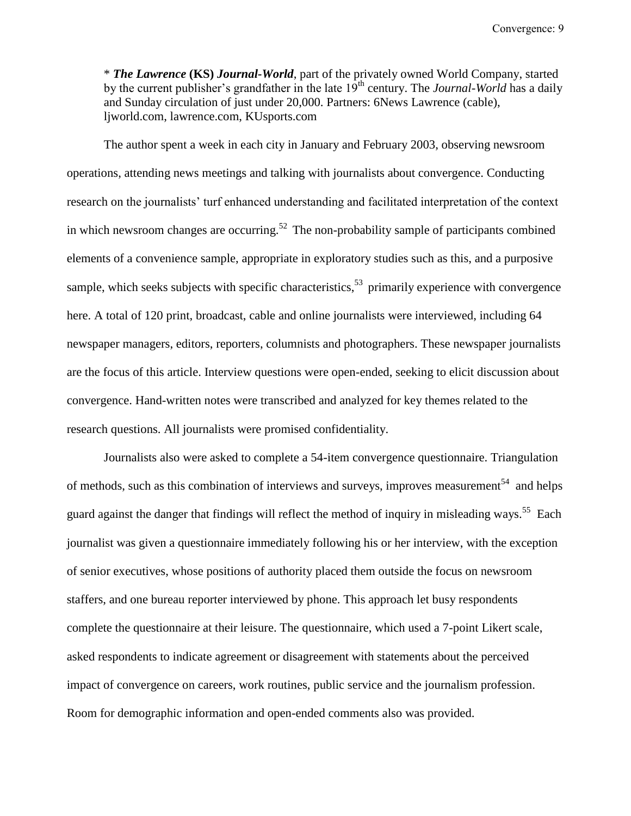\* *The Lawrence* **(KS)** *Journal-World*, part of the privately owned World Company, started by the current publisher's grandfather in the late 19<sup>th</sup> century. The *Journal-World* has a daily and Sunday circulation of just under 20,000. Partners: 6News Lawrence (cable), ljworld.com, lawrence.com, KUsports.com

The author spent a week in each city in January and February 2003, observing newsroom operations, attending news meetings and talking with journalists about convergence. Conducting research on the journalists' turf enhanced understanding and facilitated interpretation of the context in which newsroom changes are occurring.<sup>52</sup> The non-probability sample of participants combined elements of a convenience sample, appropriate in exploratory studies such as this, and a purposive sample, which seeks subjects with specific characteristics,<sup>53</sup> primarily experience with convergence here. A total of 120 print, broadcast, cable and online journalists were interviewed, including 64 newspaper managers, editors, reporters, columnists and photographers. These newspaper journalists are the focus of this article. Interview questions were open-ended, seeking to elicit discussion about convergence. Hand-written notes were transcribed and analyzed for key themes related to the research questions. All journalists were promised confidentiality.

Journalists also were asked to complete a 54-item convergence questionnaire. Triangulation of methods, such as this combination of interviews and surveys, improves measurement<sup>54</sup> and helps guard against the danger that findings will reflect the method of inquiry in misleading ways.<sup>55</sup> Each journalist was given a questionnaire immediately following his or her interview, with the exception of senior executives, whose positions of authority placed them outside the focus on newsroom staffers, and one bureau reporter interviewed by phone. This approach let busy respondents complete the questionnaire at their leisure. The questionnaire, which used a 7-point Likert scale, asked respondents to indicate agreement or disagreement with statements about the perceived impact of convergence on careers, work routines, public service and the journalism profession. Room for demographic information and open-ended comments also was provided.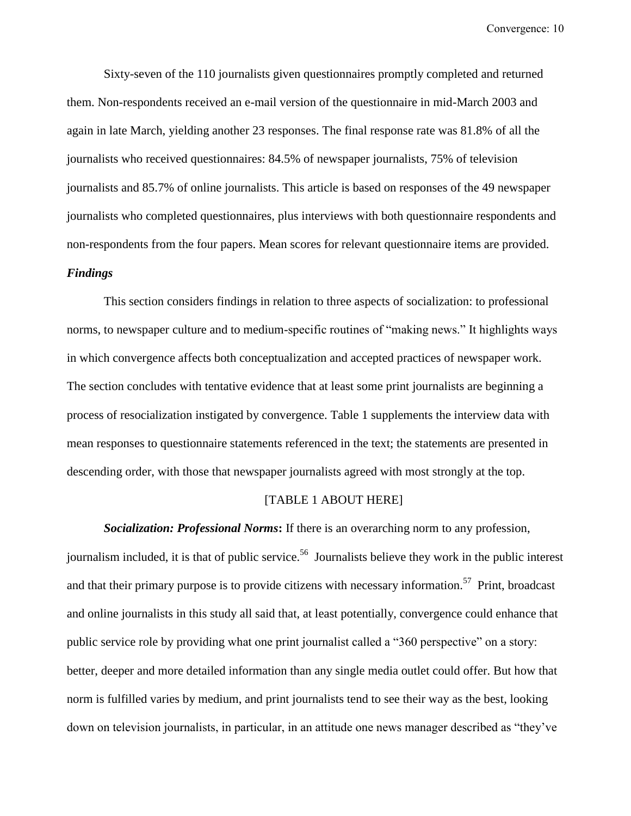Sixty-seven of the 110 journalists given questionnaires promptly completed and returned them. Non-respondents received an e-mail version of the questionnaire in mid-March 2003 and again in late March, yielding another 23 responses. The final response rate was 81.8% of all the journalists who received questionnaires: 84.5% of newspaper journalists, 75% of television journalists and 85.7% of online journalists. This article is based on responses of the 49 newspaper journalists who completed questionnaires, plus interviews with both questionnaire respondents and non-respondents from the four papers. Mean scores for relevant questionnaire items are provided.

#### *Findings*

This section considers findings in relation to three aspects of socialization: to professional norms, to newspaper culture and to medium-specific routines of "making news." It highlights ways in which convergence affects both conceptualization and accepted practices of newspaper work. The section concludes with tentative evidence that at least some print journalists are beginning a process of resocialization instigated by convergence. Table 1 supplements the interview data with mean responses to questionnaire statements referenced in the text; the statements are presented in descending order, with those that newspaper journalists agreed with most strongly at the top.

#### [TABLE 1 ABOUT HERE]

*Socialization: Professional Norms***:** If there is an overarching norm to any profession, journalism included, it is that of public service.<sup>56</sup> Journalists believe they work in the public interest and that their primary purpose is to provide citizens with necessary information.<sup>57</sup> Print, broadcast and online journalists in this study all said that, at least potentially, convergence could enhance that public service role by providing what one print journalist called a "360 perspective" on a story: better, deeper and more detailed information than any single media outlet could offer. But how that norm is fulfilled varies by medium, and print journalists tend to see their way as the best, looking down on television journalists, in particular, in an attitude one news manager described as "they've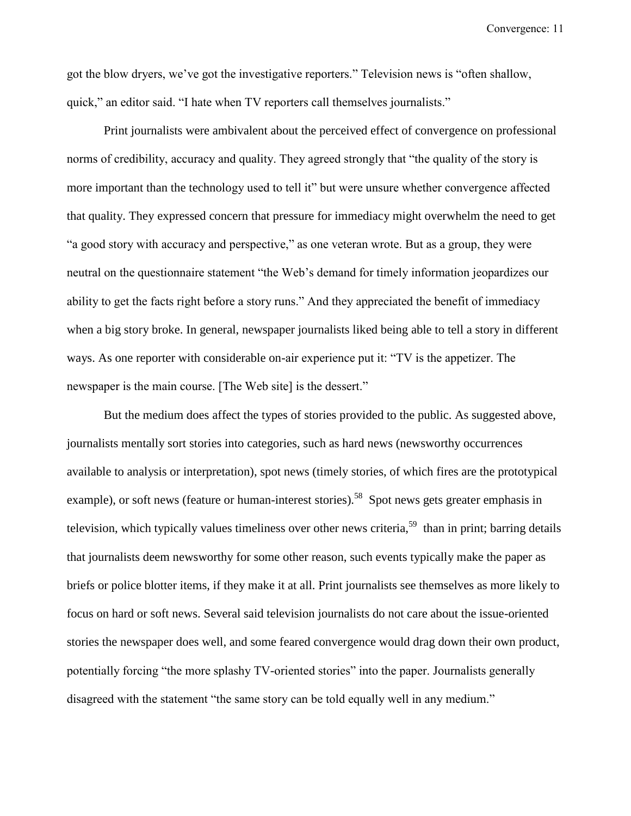got the blow dryers, we've got the investigative reporters." Television news is "often shallow, quick," an editor said. "I hate when TV reporters call themselves journalists."

Print journalists were ambivalent about the perceived effect of convergence on professional norms of credibility, accuracy and quality. They agreed strongly that "the quality of the story is more important than the technology used to tell it" but were unsure whether convergence affected that quality. They expressed concern that pressure for immediacy might overwhelm the need to get "a good story with accuracy and perspective," as one veteran wrote. But as a group, they were neutral on the questionnaire statement "the Web's demand for timely information jeopardizes our ability to get the facts right before a story runs." And they appreciated the benefit of immediacy when a big story broke. In general, newspaper journalists liked being able to tell a story in different ways. As one reporter with considerable on-air experience put it: "TV is the appetizer. The newspaper is the main course. [The Web site] is the dessert."

But the medium does affect the types of stories provided to the public. As suggested above, journalists mentally sort stories into categories, such as hard news (newsworthy occurrences available to analysis or interpretation), spot news (timely stories, of which fires are the prototypical example), or soft news (feature or human-interest stories).<sup>58</sup> Spot news gets greater emphasis in television, which typically values timeliness over other news criteria,<sup>59</sup> than in print; barring details that journalists deem newsworthy for some other reason, such events typically make the paper as briefs or police blotter items, if they make it at all. Print journalists see themselves as more likely to focus on hard or soft news. Several said television journalists do not care about the issue-oriented stories the newspaper does well, and some feared convergence would drag down their own product, potentially forcing "the more splashy TV-oriented stories" into the paper. Journalists generally disagreed with the statement "the same story can be told equally well in any medium."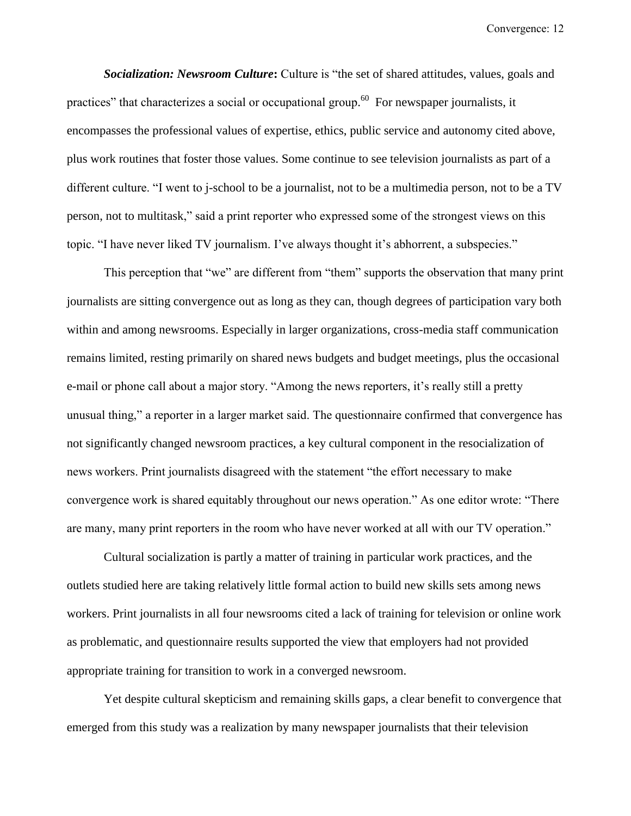**Socialization: Newsroom Culture:** Culture is "the set of shared attitudes, values, goals and practices" that characterizes a social or occupational group.<sup>60</sup> For newspaper journalists, it encompasses the professional values of expertise, ethics, public service and autonomy cited above, plus work routines that foster those values. Some continue to see television journalists as part of a different culture. "I went to j-school to be a journalist, not to be a multimedia person, not to be a TV person, not to multitask," said a print reporter who expressed some of the strongest views on this topic. "I have never liked TV journalism. I've always thought it's abhorrent, a subspecies."

This perception that "we" are different from "them" supports the observation that many print journalists are sitting convergence out as long as they can, though degrees of participation vary both within and among newsrooms. Especially in larger organizations, cross-media staff communication remains limited, resting primarily on shared news budgets and budget meetings, plus the occasional e-mail or phone call about a major story. "Among the news reporters, it's really still a pretty unusual thing," a reporter in a larger market said. The questionnaire confirmed that convergence has not significantly changed newsroom practices, a key cultural component in the resocialization of news workers. Print journalists disagreed with the statement "the effort necessary to make convergence work is shared equitably throughout our news operation." As one editor wrote: "There are many, many print reporters in the room who have never worked at all with our TV operation."

Cultural socialization is partly a matter of training in particular work practices, and the outlets studied here are taking relatively little formal action to build new skills sets among news workers. Print journalists in all four newsrooms cited a lack of training for television or online work as problematic, and questionnaire results supported the view that employers had not provided appropriate training for transition to work in a converged newsroom.

Yet despite cultural skepticism and remaining skills gaps, a clear benefit to convergence that emerged from this study was a realization by many newspaper journalists that their television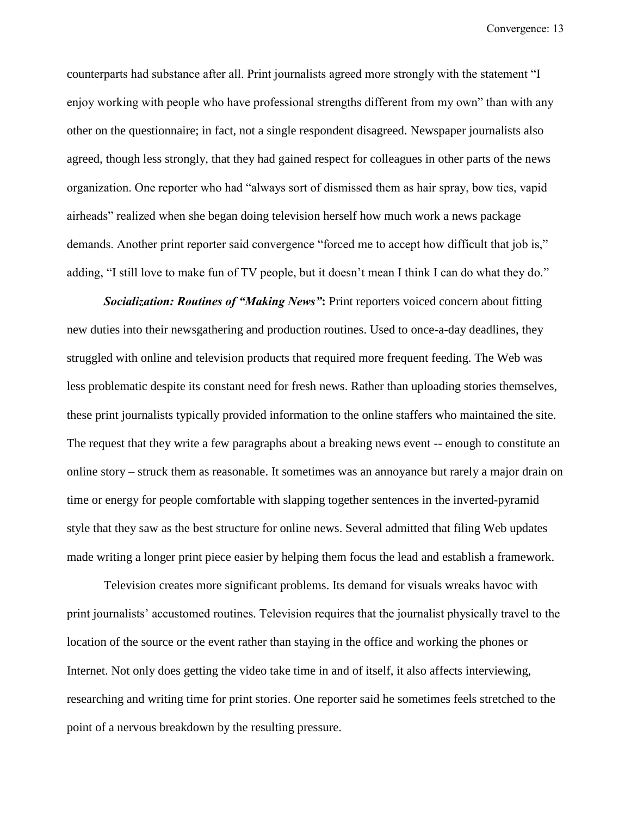counterparts had substance after all. Print journalists agreed more strongly with the statement "I enjoy working with people who have professional strengths different from my own" than with any other on the questionnaire; in fact, not a single respondent disagreed. Newspaper journalists also agreed, though less strongly, that they had gained respect for colleagues in other parts of the news organization. One reporter who had "always sort of dismissed them as hair spray, bow ties, vapid airheads" realized when she began doing television herself how much work a news package demands. Another print reporter said convergence "forced me to accept how difficult that job is," adding, "I still love to make fun of TV people, but it doesn't mean I think I can do what they do."

*Socialization: Routines of "Making News"***:** Print reporters voiced concern about fitting new duties into their newsgathering and production routines. Used to once-a-day deadlines, they struggled with online and television products that required more frequent feeding. The Web was less problematic despite its constant need for fresh news. Rather than uploading stories themselves, these print journalists typically provided information to the online staffers who maintained the site. The request that they write a few paragraphs about a breaking news event -- enough to constitute an online story – struck them as reasonable. It sometimes was an annoyance but rarely a major drain on time or energy for people comfortable with slapping together sentences in the inverted-pyramid style that they saw as the best structure for online news. Several admitted that filing Web updates made writing a longer print piece easier by helping them focus the lead and establish a framework.

Television creates more significant problems. Its demand for visuals wreaks havoc with print journalists' accustomed routines. Television requires that the journalist physically travel to the location of the source or the event rather than staying in the office and working the phones or Internet. Not only does getting the video take time in and of itself, it also affects interviewing, researching and writing time for print stories. One reporter said he sometimes feels stretched to the point of a nervous breakdown by the resulting pressure.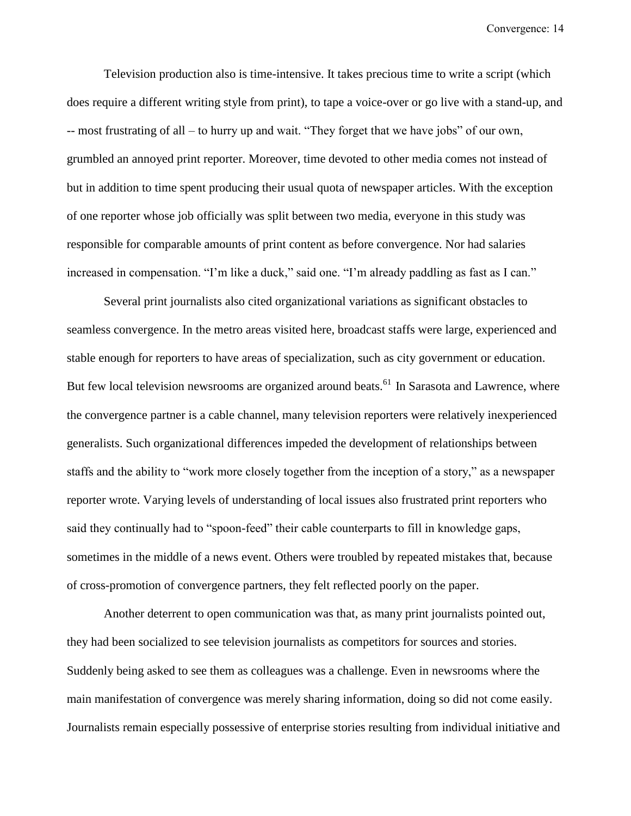Television production also is time-intensive. It takes precious time to write a script (which does require a different writing style from print), to tape a voice-over or go live with a stand-up, and -- most frustrating of all – to hurry up and wait. "They forget that we have jobs" of our own, grumbled an annoyed print reporter. Moreover, time devoted to other media comes not instead of but in addition to time spent producing their usual quota of newspaper articles. With the exception of one reporter whose job officially was split between two media, everyone in this study was responsible for comparable amounts of print content as before convergence. Nor had salaries increased in compensation. "I'm like a duck," said one. "I'm already paddling as fast as I can."

Several print journalists also cited organizational variations as significant obstacles to seamless convergence. In the metro areas visited here, broadcast staffs were large, experienced and stable enough for reporters to have areas of specialization, such as city government or education. But few local television newsrooms are organized around beats.<sup>61</sup> In Sarasota and Lawrence, where the convergence partner is a cable channel, many television reporters were relatively inexperienced generalists. Such organizational differences impeded the development of relationships between staffs and the ability to "work more closely together from the inception of a story," as a newspaper reporter wrote. Varying levels of understanding of local issues also frustrated print reporters who said they continually had to "spoon-feed" their cable counterparts to fill in knowledge gaps, sometimes in the middle of a news event. Others were troubled by repeated mistakes that, because of cross-promotion of convergence partners, they felt reflected poorly on the paper.

Another deterrent to open communication was that, as many print journalists pointed out, they had been socialized to see television journalists as competitors for sources and stories. Suddenly being asked to see them as colleagues was a challenge. Even in newsrooms where the main manifestation of convergence was merely sharing information, doing so did not come easily. Journalists remain especially possessive of enterprise stories resulting from individual initiative and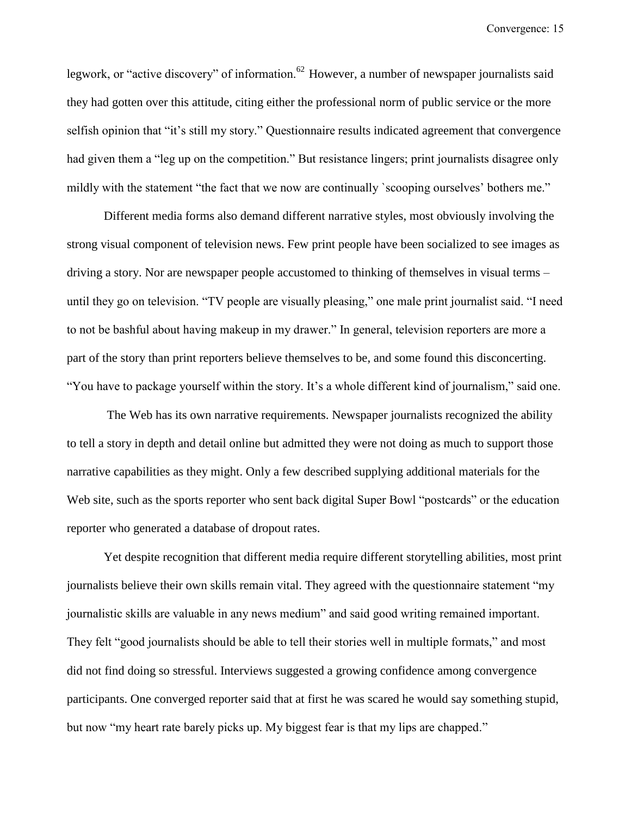legwork, or "active discovery" of information.<sup>62</sup> However, a number of newspaper journalists said they had gotten over this attitude, citing either the professional norm of public service or the more selfish opinion that "it's still my story." Questionnaire results indicated agreement that convergence had given them a "leg up on the competition." But resistance lingers; print journalists disagree only mildly with the statement "the fact that we now are continually `scooping ourselves' bothers me."

Different media forms also demand different narrative styles, most obviously involving the strong visual component of television news. Few print people have been socialized to see images as driving a story. Nor are newspaper people accustomed to thinking of themselves in visual terms – until they go on television. "TV people are visually pleasing," one male print journalist said. "I need to not be bashful about having makeup in my drawer." In general, television reporters are more a part of the story than print reporters believe themselves to be, and some found this disconcerting. "You have to package yourself within the story. It's a whole different kind of journalism," said one.

The Web has its own narrative requirements. Newspaper journalists recognized the ability to tell a story in depth and detail online but admitted they were not doing as much to support those narrative capabilities as they might. Only a few described supplying additional materials for the Web site, such as the sports reporter who sent back digital Super Bowl "postcards" or the education reporter who generated a database of dropout rates.

Yet despite recognition that different media require different storytelling abilities, most print journalists believe their own skills remain vital. They agreed with the questionnaire statement "my journalistic skills are valuable in any news medium" and said good writing remained important. They felt "good journalists should be able to tell their stories well in multiple formats," and most did not find doing so stressful. Interviews suggested a growing confidence among convergence participants. One converged reporter said that at first he was scared he would say something stupid, but now "my heart rate barely picks up. My biggest fear is that my lips are chapped."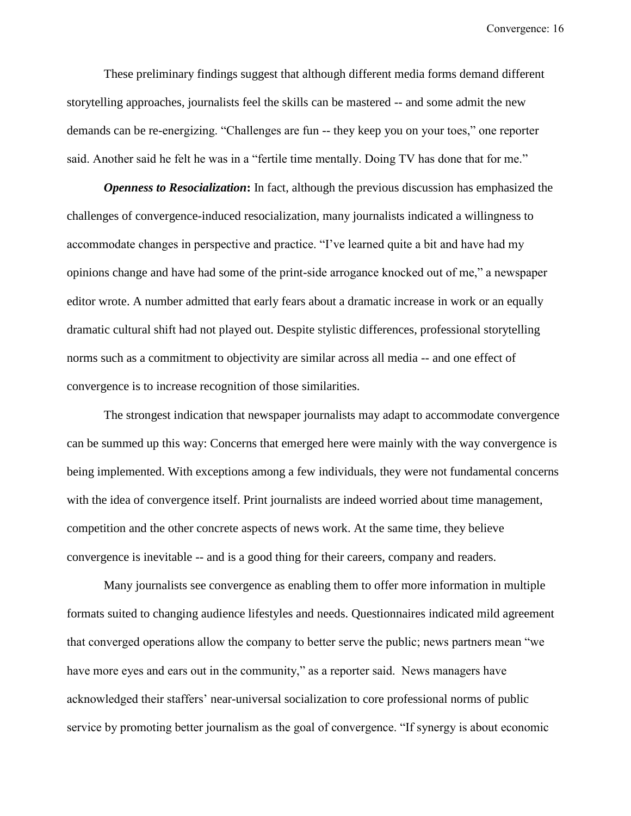These preliminary findings suggest that although different media forms demand different storytelling approaches, journalists feel the skills can be mastered -- and some admit the new demands can be re-energizing. "Challenges are fun -- they keep you on your toes," one reporter said. Another said he felt he was in a "fertile time mentally. Doing TV has done that for me."

*Openness to Resocialization***:** In fact, although the previous discussion has emphasized the challenges of convergence-induced resocialization, many journalists indicated a willingness to accommodate changes in perspective and practice. "I've learned quite a bit and have had my opinions change and have had some of the print-side arrogance knocked out of me," a newspaper editor wrote. A number admitted that early fears about a dramatic increase in work or an equally dramatic cultural shift had not played out. Despite stylistic differences, professional storytelling norms such as a commitment to objectivity are similar across all media -- and one effect of convergence is to increase recognition of those similarities.

The strongest indication that newspaper journalists may adapt to accommodate convergence can be summed up this way: Concerns that emerged here were mainly with the way convergence is being implemented. With exceptions among a few individuals, they were not fundamental concerns with the idea of convergence itself. Print journalists are indeed worried about time management, competition and the other concrete aspects of news work. At the same time, they believe convergence is inevitable -- and is a good thing for their careers, company and readers.

Many journalists see convergence as enabling them to offer more information in multiple formats suited to changing audience lifestyles and needs. Questionnaires indicated mild agreement that converged operations allow the company to better serve the public; news partners mean "we have more eyes and ears out in the community," as a reporter said. News managers have acknowledged their staffers' near-universal socialization to core professional norms of public service by promoting better journalism as the goal of convergence. "If synergy is about economic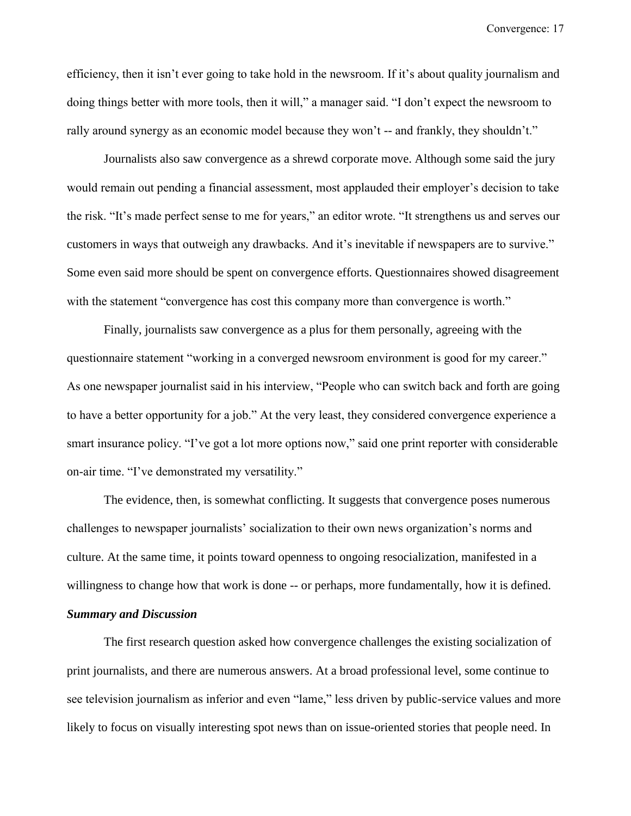efficiency, then it isn't ever going to take hold in the newsroom. If it's about quality journalism and doing things better with more tools, then it will," a manager said. "I don't expect the newsroom to rally around synergy as an economic model because they won't -- and frankly, they shouldn't."

Journalists also saw convergence as a shrewd corporate move. Although some said the jury would remain out pending a financial assessment, most applauded their employer's decision to take the risk. "It's made perfect sense to me for years," an editor wrote. "It strengthens us and serves our customers in ways that outweigh any drawbacks. And it's inevitable if newspapers are to survive." Some even said more should be spent on convergence efforts. Questionnaires showed disagreement with the statement "convergence has cost this company more than convergence is worth."

Finally, journalists saw convergence as a plus for them personally, agreeing with the questionnaire statement "working in a converged newsroom environment is good for my career." As one newspaper journalist said in his interview, "People who can switch back and forth are going to have a better opportunity for a job." At the very least, they considered convergence experience a smart insurance policy. "I've got a lot more options now," said one print reporter with considerable on-air time. "I've demonstrated my versatility."

The evidence, then, is somewhat conflicting. It suggests that convergence poses numerous challenges to newspaper journalists' socialization to their own news organization's norms and culture. At the same time, it points toward openness to ongoing resocialization, manifested in a willingness to change how that work is done -- or perhaps, more fundamentally, how it is defined. *Summary and Discussion*

The first research question asked how convergence challenges the existing socialization of print journalists, and there are numerous answers. At a broad professional level, some continue to see television journalism as inferior and even "lame," less driven by public-service values and more likely to focus on visually interesting spot news than on issue-oriented stories that people need. In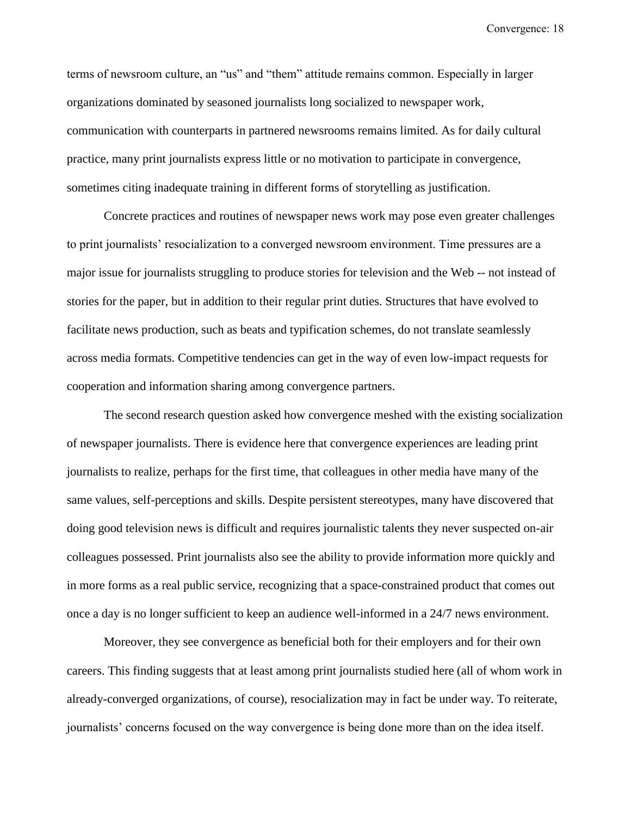terms of newsroom culture, an "us" and "them" attitude remains common. Especially in larger organizations dominated by seasoned journalists long socialized to newspaper work, communication with counterparts in partnered newsrooms remains limited. As for daily cultural practice, many print journalists express little or no motivation to participate in convergence, sometimes citing inadequate training in different forms of storytelling as justification.

Concrete practices and routines of newspaper news work may pose even greater challenges to print journalists' resocialization to a converged newsroom environment. Time pressures are a major issue for journalists struggling to produce stories for television and the Web -- not instead of stories for the paper, but in addition to their regular print duties. Structures that have evolved to facilitate news production, such as beats and typification schemes, do not translate seamlessly across media formats. Competitive tendencies can get in the way of even low-impact requests for cooperation and information sharing among convergence partners.

The second research question asked how convergence meshed with the existing socialization of newspaper journalists. There is evidence here that convergence experiences are leading print journalists to realize, perhaps for the first time, that colleagues in other media have many of the same values, self-perceptions and skills. Despite persistent stereotypes, many have discovered that doing good television news is difficult and requires journalistic talents they never suspected on-air colleagues possessed. Print journalists also see the ability to provide information more quickly and in more forms as a real public service, recognizing that a space-constrained product that comes out once a day is no longer sufficient to keep an audience well-informed in a 24/7 news environment.

Moreover, they see convergence as beneficial both for their employers and for their own careers. This finding suggests that at least among print journalists studied here (all of whom work in already-converged organizations, of course), resocialization may in fact be under way. To reiterate, journalists' concerns focused on the way convergence is being done more than on the idea itself.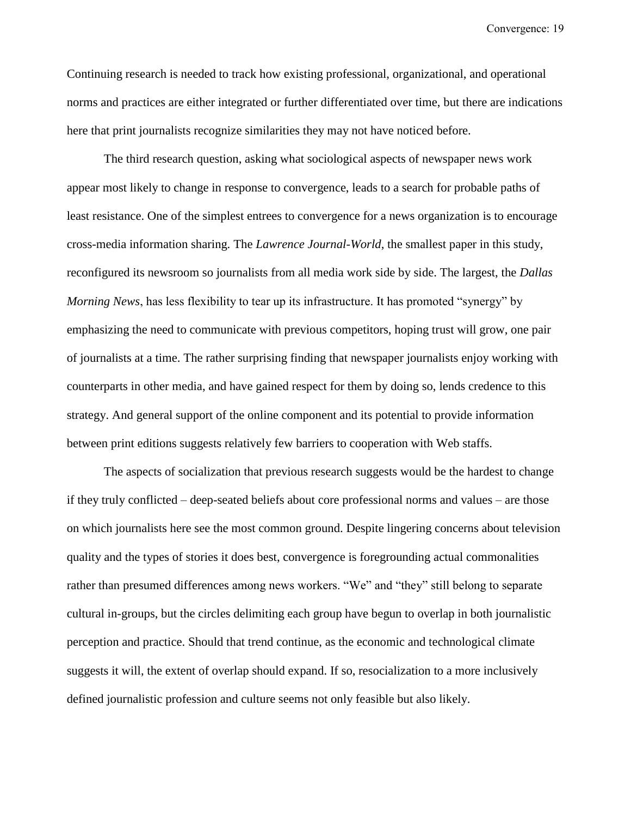Continuing research is needed to track how existing professional, organizational, and operational norms and practices are either integrated or further differentiated over time, but there are indications here that print journalists recognize similarities they may not have noticed before.

The third research question, asking what sociological aspects of newspaper news work appear most likely to change in response to convergence, leads to a search for probable paths of least resistance. One of the simplest entrees to convergence for a news organization is to encourage cross-media information sharing. The *Lawrence Journal-World*, the smallest paper in this study, reconfigured its newsroom so journalists from all media work side by side. The largest, the *Dallas Morning News*, has less flexibility to tear up its infrastructure. It has promoted "synergy" by emphasizing the need to communicate with previous competitors, hoping trust will grow, one pair of journalists at a time. The rather surprising finding that newspaper journalists enjoy working with counterparts in other media, and have gained respect for them by doing so, lends credence to this strategy. And general support of the online component and its potential to provide information between print editions suggests relatively few barriers to cooperation with Web staffs.

The aspects of socialization that previous research suggests would be the hardest to change if they truly conflicted – deep-seated beliefs about core professional norms and values – are those on which journalists here see the most common ground. Despite lingering concerns about television quality and the types of stories it does best, convergence is foregrounding actual commonalities rather than presumed differences among news workers. "We" and "they" still belong to separate cultural in-groups, but the circles delimiting each group have begun to overlap in both journalistic perception and practice. Should that trend continue, as the economic and technological climate suggests it will, the extent of overlap should expand. If so, resocialization to a more inclusively defined journalistic profession and culture seems not only feasible but also likely.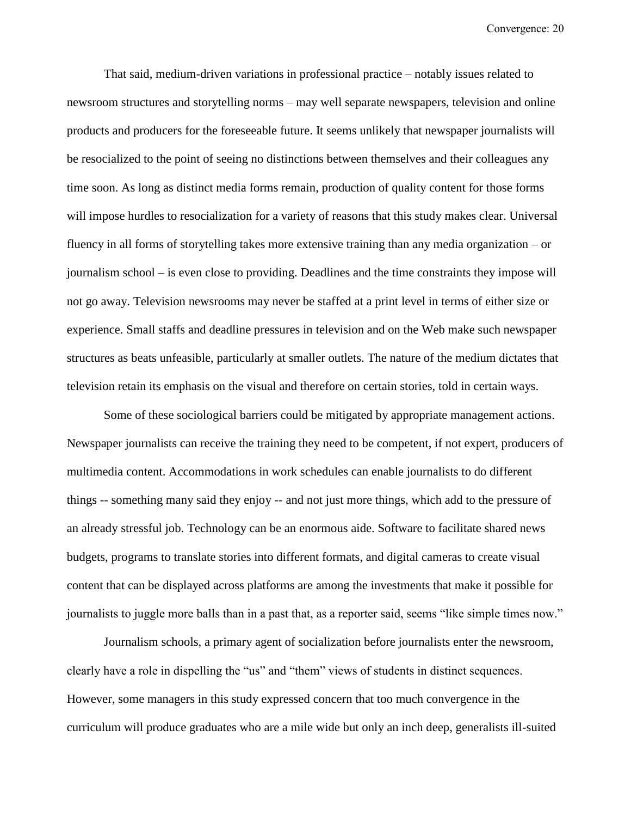That said, medium-driven variations in professional practice – notably issues related to newsroom structures and storytelling norms – may well separate newspapers, television and online products and producers for the foreseeable future. It seems unlikely that newspaper journalists will be resocialized to the point of seeing no distinctions between themselves and their colleagues any time soon. As long as distinct media forms remain, production of quality content for those forms will impose hurdles to resocialization for a variety of reasons that this study makes clear. Universal fluency in all forms of storytelling takes more extensive training than any media organization – or journalism school – is even close to providing. Deadlines and the time constraints they impose will not go away. Television newsrooms may never be staffed at a print level in terms of either size or experience. Small staffs and deadline pressures in television and on the Web make such newspaper structures as beats unfeasible, particularly at smaller outlets. The nature of the medium dictates that television retain its emphasis on the visual and therefore on certain stories, told in certain ways.

Some of these sociological barriers could be mitigated by appropriate management actions. Newspaper journalists can receive the training they need to be competent, if not expert, producers of multimedia content. Accommodations in work schedules can enable journalists to do different things -- something many said they enjoy -- and not just more things, which add to the pressure of an already stressful job. Technology can be an enormous aide. Software to facilitate shared news budgets, programs to translate stories into different formats, and digital cameras to create visual content that can be displayed across platforms are among the investments that make it possible for journalists to juggle more balls than in a past that, as a reporter said, seems "like simple times now."

Journalism schools, a primary agent of socialization before journalists enter the newsroom, clearly have a role in dispelling the "us" and "them" views of students in distinct sequences. However, some managers in this study expressed concern that too much convergence in the curriculum will produce graduates who are a mile wide but only an inch deep, generalists ill-suited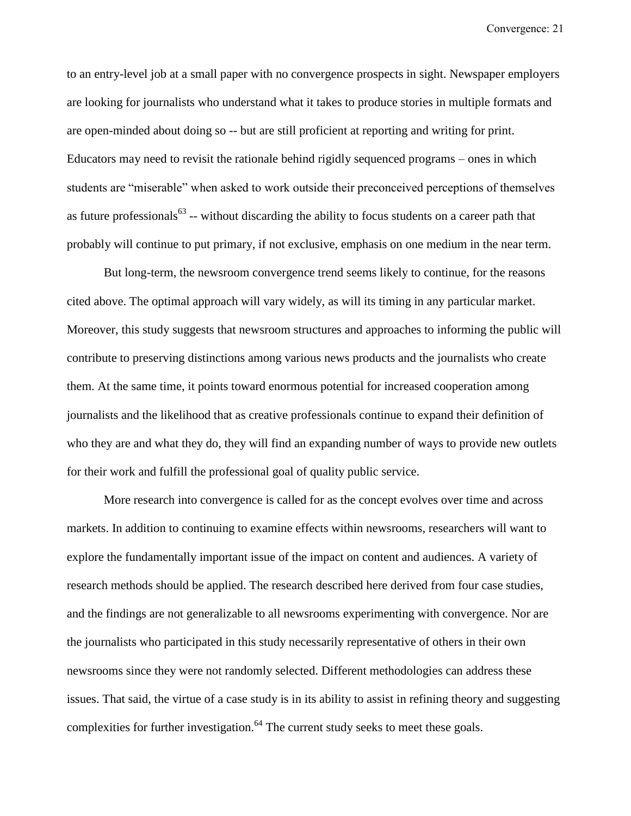to an entry-level job at a small paper with no convergence prospects in sight. Newspaper employers are looking for journalists who understand what it takes to produce stories in multiple formats and are open-minded about doing so -- but are still proficient at reporting and writing for print. Educators may need to revisit the rationale behind rigidly sequenced programs – ones in which students are "miserable" when asked to work outside their preconceived perceptions of themselves as future professionals $^{63}$  -- without discarding the ability to focus students on a career path that probably will continue to put primary, if not exclusive, emphasis on one medium in the near term.

But long-term, the newsroom convergence trend seems likely to continue, for the reasons cited above. The optimal approach will vary widely, as will its timing in any particular market. Moreover, this study suggests that newsroom structures and approaches to informing the public will contribute to preserving distinctions among various news products and the journalists who create them. At the same time, it points toward enormous potential for increased cooperation among journalists and the likelihood that as creative professionals continue to expand their definition of who they are and what they do, they will find an expanding number of ways to provide new outlets for their work and fulfill the professional goal of quality public service.

More research into convergence is called for as the concept evolves over time and across markets. In addition to continuing to examine effects within newsrooms, researchers will want to explore the fundamentally important issue of the impact on content and audiences. A variety of research methods should be applied. The research described here derived from four case studies, and the findings are not generalizable to all newsrooms experimenting with convergence. Nor are the journalists who participated in this study necessarily representative of others in their own newsrooms since they were not randomly selected. Different methodologies can address these issues. That said, the virtue of a case study is in its ability to assist in refining theory and suggesting complexities for further investigation.<sup>64</sup> The current study seeks to meet these goals.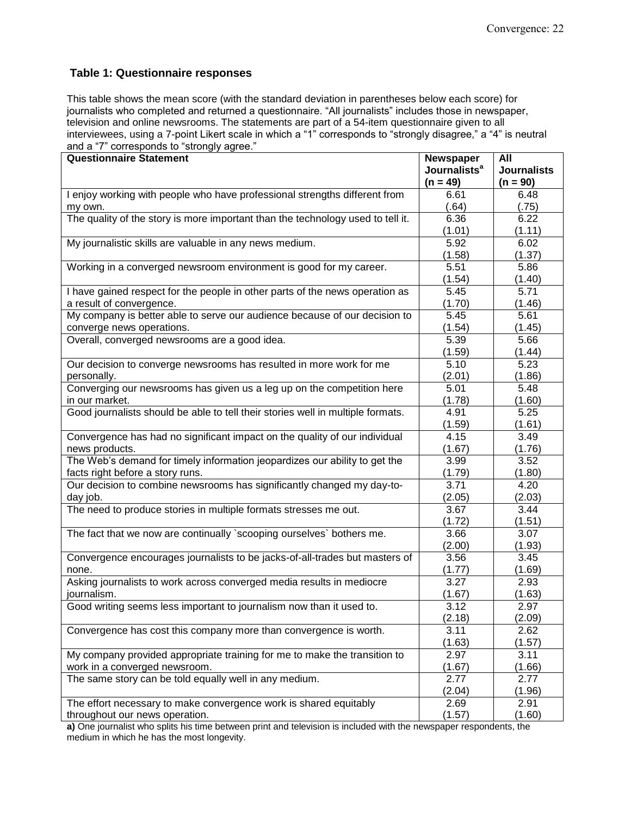#### **Table 1: Questionnaire responses**

This table shows the mean score (with the standard deviation in parentheses below each score) for journalists who completed and returned a questionnaire. "All journalists" includes those in newspaper, television and online newsrooms. The statements are part of a 54-item questionnaire given to all interviewees, using a 7-point Likert scale in which a "1" corresponds to "strongly disagree," a "4" is neutral and a "7" corresponds to "strongly agree."

| <b>Questionnaire Statement</b>                                                  | Newspaper                | All                |
|---------------------------------------------------------------------------------|--------------------------|--------------------|
|                                                                                 | Journalists <sup>a</sup> | <b>Journalists</b> |
|                                                                                 | $(n = 49)$               | $(n = 90)$         |
| I enjoy working with people who have professional strengths different from      | 6.61                     | 6.48               |
| my own.                                                                         | (.64)                    | (.75)              |
| The quality of the story is more important than the technology used to tell it. | 6.36                     | 6.22               |
|                                                                                 | (1.01)                   | (1.11)             |
| My journalistic skills are valuable in any news medium.                         | 5.92                     | 6.02               |
|                                                                                 | (1.58)                   | (1.37)             |
| Working in a converged newsroom environment is good for my career.              | 5.51                     | 5.86               |
|                                                                                 | (1.54)                   | (1.40)             |
| I have gained respect for the people in other parts of the news operation as    | 5.45                     | 5.71               |
| a result of convergence.                                                        | (1.70)                   | (1.46)             |
| My company is better able to serve our audience because of our decision to      | 5.45                     | 5.61               |
| converge news operations.                                                       | (1.54)                   | (1.45)             |
| Overall, converged newsrooms are a good idea.                                   | 5.39                     | 5.66               |
|                                                                                 | (1.59)                   | (1.44)             |
| Our decision to converge newsrooms has resulted in more work for me             | 5.10                     | 5.23               |
| personally.                                                                     | (2.01)                   | (1.86)             |
| Converging our newsrooms has given us a leg up on the competition here          | 5.01                     | 5.48               |
| in our market.                                                                  | (1.78)                   | (1.60)             |
| Good journalists should be able to tell their stories well in multiple formats. | 4.91                     | 5.25               |
|                                                                                 | (1.59)                   | (1.61)             |
| Convergence has had no significant impact on the quality of our individual      | 4.15                     | 3.49               |
| news products.                                                                  | (1.67)                   | (1.76)             |
| The Web's demand for timely information jeopardizes our ability to get the      | 3.99                     | 3.52               |
| facts right before a story runs.                                                | (1.79)                   | (1.80)             |
| Our decision to combine newsrooms has significantly changed my day-to-          | 3.71                     | 4.20               |
| day job.                                                                        | (2.05)                   | (2.03)             |
| The need to produce stories in multiple formats stresses me out.                | 3.67                     | 3.44               |
|                                                                                 | (1.72)                   | (1.51)             |
| The fact that we now are continually `scooping ourselves` bothers me.           | 3.66                     | 3.07               |
|                                                                                 | (2.00)                   | (1.93)             |
| Convergence encourages journalists to be jacks-of-all-trades but masters of     | 3.56                     | 3.45               |
| none.                                                                           | (1.77)                   | (1.69)             |
| Asking journalists to work across converged media results in mediocre           | 3.27                     | 2.93               |
| journalism.                                                                     | (1.67)                   | (1.63)             |
| Good writing seems less important to journalism now than it used to.            | 3.12                     | 2.97               |
|                                                                                 | (2.18)                   | (2.09)             |
| Convergence has cost this company more than convergence is worth.               | 3.11                     | 2.62               |
|                                                                                 | (1.63)                   | (1.57)             |
| My company provided appropriate training for me to make the transition to       | 2.97                     | 3.11               |
| work in a converged newsroom.                                                   | (1.67)                   | (1.66)             |
| The same story can be told equally well in any medium.                          | 2.77                     | 2.77               |
|                                                                                 | (2.04)                   | (1.96)             |
| The effort necessary to make convergence work is shared equitably               | 2.69                     | 2.91               |
| throughout our news operation.                                                  | (1.57)                   | (1.60)             |

**a)** One journalist who splits his time between print and television is included with the newspaper respondents, the medium in which he has the most longevity.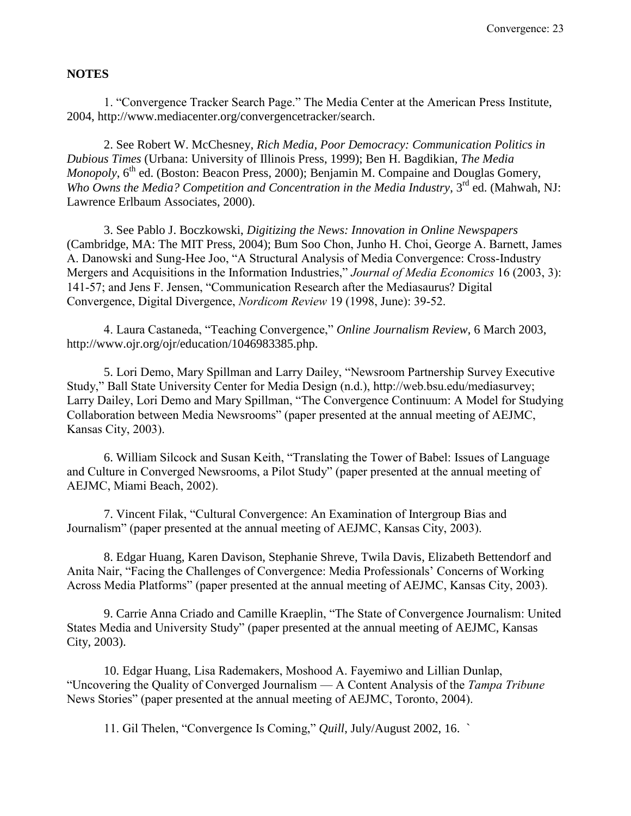#### **NOTES**

1. "Convergence Tracker Search Page." The Media Center at the American Press Institute, 2004, [http://www.mediacenter.org/convergencetracker/search.](http://www.mediacenter.org/convergencetracker/search)

2. See Robert W. McChesney, *Rich Media, Poor Democracy: Communication Politics in Dubious Times* (Urbana: University of Illinois Press, 1999); Ben H. Bagdikian, *The Media Monopoly*, 6<sup>th</sup> ed. (Boston: Beacon Press, 2000); Benjamin M. Compaine and Douglas Gomery, *Who Owns the Media? Competition and Concentration in the Media Industry*, 3<sup>rd</sup> ed. (Mahwah, NJ: Lawrence Erlbaum Associates, 2000).

3. See Pablo J. Boczkowski, *Digitizing the News: Innovation in Online Newspapers* (Cambridge, MA: The MIT Press, 2004); Bum Soo Chon, Junho H. Choi, George A. Barnett, James A. Danowski and Sung-Hee Joo, "A Structural Analysis of Media Convergence: Cross-Industry Mergers and Acquisitions in the Information Industries," *Journal of Media Economics* 16 (2003, 3): 141-57; and Jens F. Jensen, "Communication Research after the Mediasaurus? Digital Convergence, Digital Divergence, *Nordicom Review* 19 (1998, June): 39-52.

4. Laura Castaneda, "Teaching Convergence," *Online Journalism Review*, 6 March 2003, http://www.ojr.org/ojr/education/1046983385.php.

5. Lori Demo, Mary Spillman and Larry Dailey, "Newsroom Partnership Survey Executive Study," Ball State University Center for Media Design (n.d.), [http://web.bsu.edu/mediasurvey;](http://web.bsu.edu/mediasurvey) Larry Dailey, Lori Demo and Mary Spillman, "The Convergence Continuum: A Model for Studying Collaboration between Media Newsrooms" (paper presented at the annual meeting of AEJMC, Kansas City, 2003).

6. William Silcock and Susan Keith, "Translating the Tower of Babel: Issues of Language and Culture in Converged Newsrooms, a Pilot Study" (paper presented at the annual meeting of AEJMC, Miami Beach, 2002).

7. Vincent Filak, "Cultural Convergence: An Examination of Intergroup Bias and Journalism" (paper presented at the annual meeting of AEJMC, Kansas City, 2003).

8. Edgar Huang, Karen Davison, Stephanie Shreve, Twila Davis, Elizabeth Bettendorf and Anita Nair, "Facing the Challenges of Convergence: Media Professionals' Concerns of Working Across Media Platforms" (paper presented at the annual meeting of AEJMC, Kansas City, 2003).

9. Carrie Anna Criado and Camille Kraeplin, "The State of Convergence Journalism: United States Media and University Study" (paper presented at the annual meeting of AEJMC, Kansas City, 2003).

10. Edgar Huang, Lisa Rademakers, Moshood A. Fayemiwo and Lillian Dunlap, "Uncovering the Quality of Converged Journalism — A Content Analysis of the *Tampa Tribune* News Stories" (paper presented at the annual meeting of AEJMC, Toronto, 2004).

11. Gil Thelen, "Convergence Is Coming," *Quill*, July/August 2002, 16. `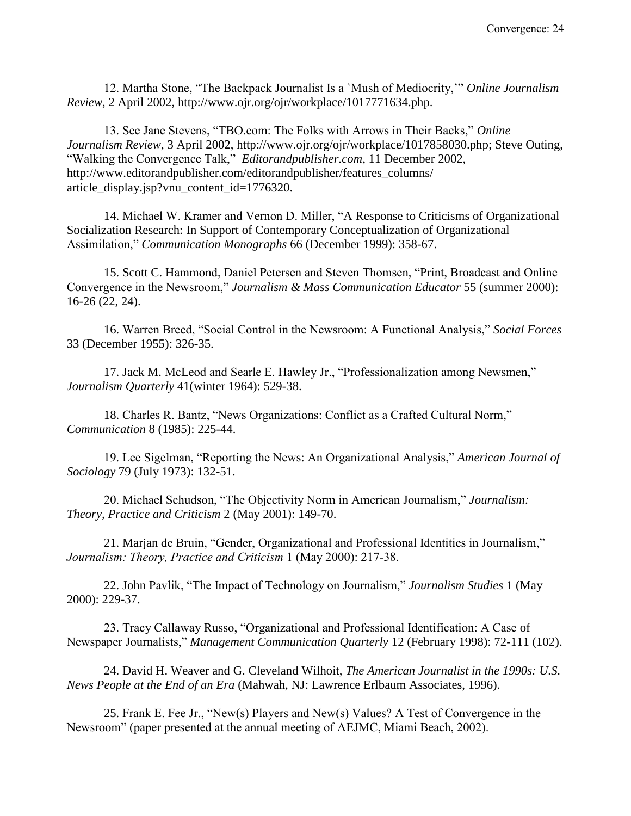12. Martha Stone, "The Backpack Journalist Is a `Mush of Mediocrity,'" *Online Journalism Review*, 2 April 2002, http://www.ojr.org/ojr/workplace/1017771634.php.

13. See Jane Stevens, "TBO.com: The Folks with Arrows in Their Backs," *Online Journalism Review*, 3 April 2002, [http://www.ojr.org/ojr/workplace/1017858030.php;](http://www.ojr.org/ojr/workplace/1017858030.php) Steve Outing, "Walking the Convergence Talk," *Editorandpublisher.com*, 11 December 2002, [http://www.editorandpublisher.com/editorandpublisher/features\\_columns/](http://www.editorandpublisher.com/editorandpublisher/features_columns/) article\_display.jsp?vnu\_content\_id=1776320.

14. Michael W. Kramer and Vernon D. Miller, "A Response to Criticisms of Organizational Socialization Research: In Support of Contemporary Conceptualization of Organizational Assimilation," *Communication Monographs* 66 (December 1999): 358-67.

15. Scott C. Hammond, Daniel Petersen and Steven Thomsen, "Print, Broadcast and Online Convergence in the Newsroom," *Journalism & Mass Communication Educator* 55 (summer 2000): 16-26 (22, 24).

16. Warren Breed, "Social Control in the Newsroom: A Functional Analysis," *Social Forces* 33 (December 1955): 326-35.

17. Jack M. McLeod and Searle E. Hawley Jr., "Professionalization among Newsmen," *Journalism Quarterly* 41(winter 1964): 529-38.

18. Charles R. Bantz, "News Organizations: Conflict as a Crafted Cultural Norm," *Communication* 8 (1985): 225-44.

19. Lee Sigelman, "Reporting the News: An Organizational Analysis," *American Journal of Sociology* 79 (July 1973): 132-51.

20. Michael Schudson, "The Objectivity Norm in American Journalism," *Journalism: Theory, Practice and Criticism* 2 (May 2001): 149-70.

21. Marjan de Bruin, "Gender, Organizational and Professional Identities in Journalism," *Journalism: Theory, Practice and Criticism* 1 (May 2000): 217-38.

22. John Pavlik, "The Impact of Technology on Journalism," *Journalism Studies* 1 (May 2000): 229-37.

23. Tracy Callaway Russo, "Organizational and Professional Identification: A Case of Newspaper Journalists," *Management Communication Quarterly* 12 (February 1998): 72-111 (102).

24. David H. Weaver and G. Cleveland Wilhoit, *The American Journalist in the 1990s: U.S. News People at the End of an Era* (Mahwah, NJ: Lawrence Erlbaum Associates, 1996).

25. Frank E. Fee Jr., "New(s) Players and New(s) Values? A Test of Convergence in the Newsroom" (paper presented at the annual meeting of AEJMC, Miami Beach, 2002).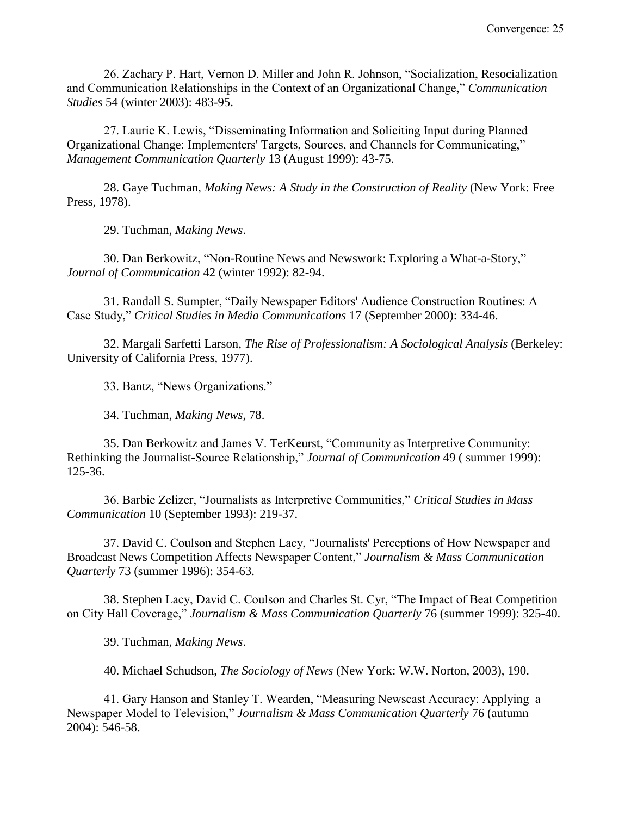26. Zachary P. Hart, Vernon D. Miller and John R. Johnson, "Socialization, Resocialization and Communication Relationships in the Context of an Organizational Change," *Communication Studies* 54 (winter 2003): 483-95.

27. Laurie K. Lewis, "Disseminating Information and Soliciting Input during Planned Organizational Change: Implementers' Targets, Sources, and Channels for Communicating," *Management Communication Quarterly* 13 (August 1999): 43-75.

28. Gaye Tuchman, *Making News: A Study in the Construction of Reality* (New York: Free Press, 1978).

29. Tuchman, *Making News*.

30. Dan Berkowitz, "Non-Routine News and Newswork: Exploring a What-a-Story," *Journal of Communication* 42 (winter 1992): 82-94.

31. Randall S. Sumpter, "Daily Newspaper Editors' Audience Construction Routines: A Case Study," *Critical Studies in Media Communications* 17 (September 2000): 334-46.

32. Margali Sarfetti Larson, *The Rise of Professionalism: A Sociological Analysis* (Berkeley: University of California Press, 1977).

33. Bantz, "News Organizations."

34. Tuchman, *Making News*, 78.

35. Dan Berkowitz and James V. TerKeurst, "Community as Interpretive Community: Rethinking the Journalist-Source Relationship," *Journal of Communication* 49 ( summer 1999): 125-36.

36. Barbie Zelizer, "Journalists as Interpretive Communities," *Critical Studies in Mass Communication* 10 (September 1993): 219-37.

37. David C. Coulson and Stephen Lacy, "Journalists' Perceptions of How Newspaper and Broadcast News Competition Affects Newspaper Content," *Journalism & Mass Communication Quarterly* 73 (summer 1996): 354-63.

38. Stephen Lacy, David C. Coulson and Charles St. Cyr, "The Impact of Beat Competition on City Hall Coverage," *Journalism & Mass Communication Quarterly* 76 (summer 1999): 325-40.

39. Tuchman, *Making News*.

40. Michael Schudson, *The Sociology of News* (New York: W.W. Norton, 2003), 190.

41. Gary Hanson and Stanley T. Wearden, "Measuring Newscast Accuracy: Applying a Newspaper Model to Television," *Journalism & Mass Communication Quarterly* 76 (autumn 2004): 546-58.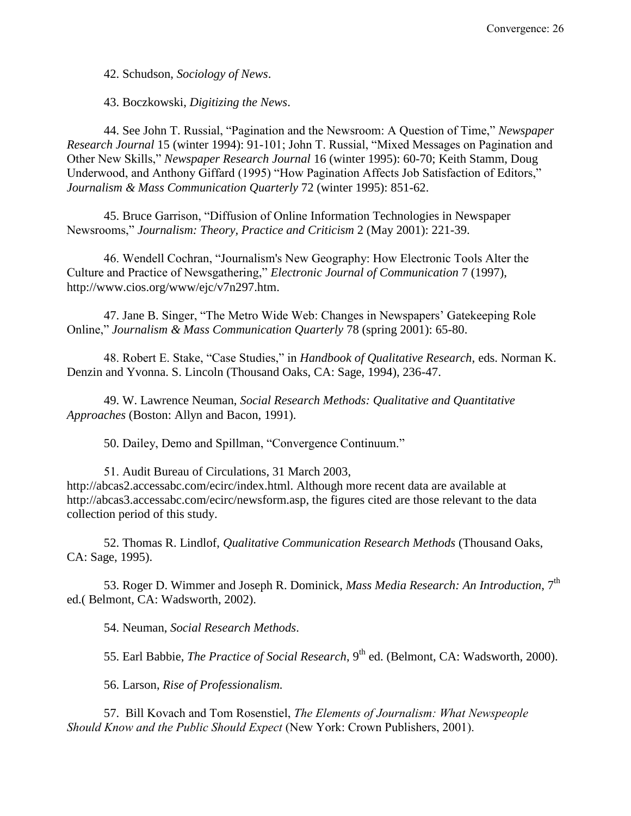42. Schudson, *Sociology of News*.

43. Boczkowski, *Digitizing the News*.

44. See John T. Russial, "Pagination and the Newsroom: A Question of Time," *Newspaper Research Journal* 15 (winter 1994): 91-101; John T. Russial, "Mixed Messages on Pagination and Other New Skills," *Newspaper Research Journal* 16 (winter 1995): 60-70; Keith Stamm, Doug Underwood, and Anthony Giffard (1995) "How Pagination Affects Job Satisfaction of Editors," *Journalism & Mass Communication Quarterly* 72 (winter 1995): 851-62.

45. Bruce Garrison, "Diffusion of Online Information Technologies in Newspaper Newsrooms," *Journalism: Theory, Practice and Criticism* 2 (May 2001): 221-39.

46. Wendell Cochran, "Journalism's New Geography: How Electronic Tools Alter the Culture and Practice of Newsgathering," *Electronic Journal of Communication* 7 (1997), http://www.cios.org/www/ejc/v7n297.htm.

47. Jane B. Singer, "The Metro Wide Web: Changes in Newspapers' Gatekeeping Role Online," *Journalism & Mass Communication Quarterly* 78 (spring 2001): 65-80.

48. Robert E. Stake, "Case Studies," in *Handbook of Qualitative Research*, eds. Norman K. Denzin and Yvonna. S. Lincoln (Thousand Oaks, CA: Sage, 1994), 236-47.

49. W. Lawrence Neuman, *Social Research Methods: Qualitative and Quantitative Approaches* (Boston: Allyn and Bacon, 1991).

50. Dailey, Demo and Spillman, "Convergence Continuum."

51. Audit Bureau of Circulations, 31 March 2003, http://abcas2.accessabc.com/ecirc/index.html. Although more recent data are available at [http://abcas3.accessabc.com/ecirc/newsform.asp,](http://abcas3.accessabc.com/ecirc/newsform.asp) the figures cited are those relevant to the data collection period of this study.

52. Thomas R. Lindlof, *Qualitative Communication Research Methods* (Thousand Oaks, CA: Sage, 1995).

53. Roger D. Wimmer and Joseph R. Dominick, *Mass Media Research: An Introduction*, 7th ed.( Belmont, CA: Wadsworth, 2002).

54. Neuman, *Social Research Methods*.

55. Earl Babbie, *The Practice of Social Research*, 9<sup>th</sup> ed. (Belmont, CA: Wadsworth, 2000).

56. Larson, *Rise of Professionalism.*

57. Bill Kovach and Tom Rosenstiel, *The Elements of Journalism: What Newspeople Should Know and the Public Should Expect* (New York: Crown Publishers, 2001).